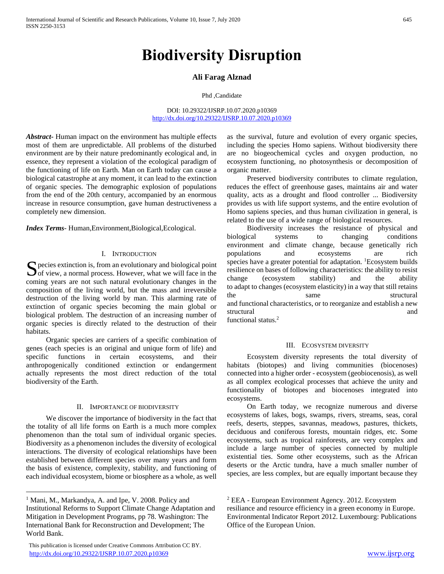# **Biodiversity Disruption**

# **Ali Farag Alznad**

#### Phd ,Candidate

DOI: 10.29322/IJSRP.10.07.2020.p10369 <http://dx.doi.org/10.29322/IJSRP.10.07.2020.p10369>

*Abstract***-** Human impact on the environment has multiple effects most of them are unpredictable. All problems of the disturbed environment are by their nature predominantly ecological and, in essence, they represent a violation of the ecological paradigm of the functioning of life on Earth. Man on Earth today can cause a biological catastrophe at any moment, it can lead to the extinction of organic species. The demographic explosion of populations from the end of the 20th century, accompanied by an enormous increase in resource consumption, gave human destructiveness a completely new dimension.

*Index Terms*- Human,Environment,Biological,Ecological.

# I. INTRODUCTION

S pecies extinction is, from an evolutionary and biological point of view, a normal process. However, what we will face in the  $\bigcup$  of view, a normal process. However, what we will face in the coming years are not such natural evolutionary changes in the composition of the living world, but the mass and irreversible destruction of the living world by man. This alarming rate of extinction of organic species becoming the main global or biological problem. The destruction of an increasing number of organic species is directly related to the destruction of their habitats.

 Organic species are carriers of a specific combination of genes (each species is an original and unique form of life) and specific functions in certain ecosystems, and their anthropogenically conditioned extinction or endangerment actually represents the most direct reduction of the total biodiversity of the Earth.

# II. IMPORTANCE OF BIODIVERSITY

 We discover the importance of biodiversity in the fact that the totality of all life forms on Earth is a much more complex phenomenon than the total sum of individual organic species. Biodiversity as a phenomenon includes the diversity of ecological interactions. The diversity of ecological relationships have been established between different species over many years and form the basis of existence, complexity, stability, and functioning of each individual ecosystem, biome or biosphere as a whole, as well

 $\overline{a}$ 

as the survival, future and evolution of every organic species, including the species Homo sapiens. Without biodiversity there are no biogeochemical cycles and oxygen production, no ecosystem functioning, no photosynthesis or decomposition of organic matter.

 Preserved biodiversity contributes to climate regulation, reduces the effect of greenhouse gases, maintains air and water quality, acts as a drought and flood controller ... Biodiversity provides us with life support systems, and the entire evolution of Homo sapiens species, and thus human civilization in general, is related to the use of a wide range of biological resources.

 Biodiversity increases the resistance of physical and biological systems to changing conditions environment and climate change, because genetically rich populations and ecosystems are rich species have a greater potential for adaptation. <sup>1</sup>Ecosystem builds resilience on bases of following characteristics: the ability to resist change (ecosystem stability) and the ability to adapt to changes (ecosystem elasticity) in a way that still retains the same structural and functional characteristics, or to reorganize and establish a new structural and

functional status.<sup>2</sup>

#### III. ECOSYSTEM DIVERSITY

 Ecosystem diversity represents the total diversity of habitats (biotopes) and living communities (biocenoses) connected into a higher order - ecosystem (geobiocenosis), as well as all complex ecological processes that achieve the unity and functionality of biotopes and biocenoses integrated into ecosystems.

 On Earth today, we recognize numerous and diverse ecosystems of lakes, bogs, swamps, rivers, streams, seas, coral reefs, deserts, steppes, savannas, meadows, pastures, thickets, deciduous and coniferous forests, mountain ridges, etc. Some ecosystems, such as tropical rainforests, are very complex and include a large number of species connected by multiple existential ties. Some other ecosystems, such as the African deserts or the Arctic tundra, have a much smaller number of species, are less complex, but are equally important because they

<sup>&</sup>lt;sup>1</sup> Mani, M., Markandya, A. and Ipe, V. 2008. Policy and Institutional Reforms to Support Climate Change Adaptation and Mitigation in Development Programs, pp 78. Washington: The International Bank for Reconstruction and Development; The World Bank.

This publication is licensed under Creative Commons Attribution CC BY. <http://dx.doi.org/10.29322/IJSRP.10.07.2020.p10369> [www.ijsrp.org](http://ijsrp.org/)

<sup>2</sup> EEA - European Environment Agency. 2012. Ecosystem resiliance and resource efficiency in a green economy in Europe. Environmental Indicator Report 2012. Luxembourg: Publications Office of the European Union.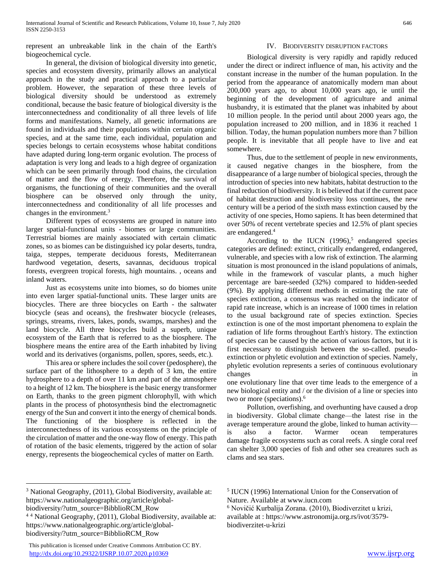represent an unbreakable link in the chain of the Earth's biogeochemical cycle.

 In general, the division of biological diversity into genetic, species and ecosystem diversity, primarily allows an analytical approach in the study and practical approach to a particular problem. However, the separation of these three levels of biological diversity should be understood as extremely conditional, because the basic feature of biological diversity is the interconnectedness and conditionality of all three levels of life forms and manifestations. Namely, all genetic informations are found in individuals and their populations within certain organic species, and at the same time, each individual, population and species belongs to certain ecosystems whose habitat conditions have adapted during long-term organic evolution. The process of adaptation is very long and leads to a high degree of organization which can be seen primarily through food chains, the circulation of matter and the flow of energy. Therefore, the survival of organisms, the functioning of their communities and the overall biosphere can be observed only through the unity, interconnectedness and conditionality of all life processes and changes in the environment.<sup>3</sup>

 Different types of ecosystems are grouped in nature into larger spatial-functional units - biomes or large communities. Terrestrial biomes are mainly associated with certain climatic zones, so as biomes can be distinguished icy polar deserts, tundra, taiga, steppes, temperate deciduous forests, Mediterranean hardwood vegetation, deserts, savannas, deciduous tropical forests, evergreen tropical forests, high mountains. , oceans and inland waters.

 Just as ecosystems unite into biomes, so do biomes unite into even larger spatial-functional units. These larger units are biocycles. There are three biocycles on Earth - the saltwater biocycle (seas and oceans), the freshwater biocycle (releases, springs, streams, rivers, lakes, ponds, swamps, marshes) and the land biocycle. All three biocycles build a superb, unique ecosystem of the Earth that is referred to as the biosphere. The biosphere means the entire area of the Earth inhabited by living world and its derivatives (organisms, pollen, spores, seeds, etc.).

 This area or sphere includes the soil cover (pedosphere), the surface part of the lithosphere to a depth of 3 km, the entire hydrosphere to a depth of over 11 km and part of the atmosphere to a height of 12 km. The biosphere is the basic energy transformer on Earth, thanks to the green pigment chlorophyll, with which plants in the process of photosynthesis bind the electromagnetic energy of the Sun and convert it into the energy of chemical bonds. The functioning of the biosphere is reflected in the interconnectedness of its various ecosystems on the principle of the circulation of matter and the one-way flow of energy. This path of rotation of the basic elements, triggered by the action of solar energy, represents the biogeochemical cycles of matter on Earth.

# IV. BIODIVERSITY DISRUPTION FACTORS

 Biological diversity is very rapidly and rapidly reduced under the direct or indirect influence of man, his activity and the constant increase in the number of the human population. In the period from the appearance of anatomically modern man about 200,000 years ago, to about 10,000 years ago, ie until the beginning of the development of agriculture and animal husbandry, it is estimated that the planet was inhabited by about 10 million people. In the period until about 2000 years ago, the population increased to 200 million, and in 1836 it reached 1 billion. Today, the human population numbers more than 7 billion people. It is inevitable that all people have to live and eat somewhere.

 Thus, due to the settlement of people in new environments, it caused negative changes in the biosphere, from the disappearance of a large number of biological species, through the introduction of species into new habitats, habitat destruction to the final reduction of biodiversity. It is believed that if the current pace of habitat destruction and biodiversity loss continues, the new century will be a period of the sixth mass extinction caused by the activity of one species, Homo sapiens. It has been determined that over 50% of recent vertebrate species and 12.5% of plant species are endangered.<sup>4</sup>

According to the IUCN  $(1996)$ <sup>5</sup> endangered species categories are defined: extinct, critically endangered, endangered, vulnerable, and species with a low risk of extinction. The alarming situation is most pronounced in the island populations of animals, while in the framework of vascular plants, a much higher percentage are bare-seeded (32%) compared to hidden-seeded (9%). By applying different methods in estimating the rate of species extinction, a consensus was reached on the indicator of rapid rate increase, which is an increase of 1000 times in relation to the usual background rate of species extinction. Species extinction is one of the most important phenomena to explain the radiation of life forms throughout Earth's history. The extinction of species can be caused by the action of various factors, but it is first necessary to distinguish between the so-called. pseudoextinction or phyletic evolution and extinction of species. Namely, phyletic evolution represents a series of continuous evolutionary changes in

one evolutionary line that over time leads to the emergence of a new biological entity and / or the division of a line or species into two or more (speciations).<sup>6</sup>

 Pollution, overfishing, and overhunting have caused a drop in biodiversity. Global climate change—the latest rise in the average temperature around the globe, linked to human activity is also a factor. Warmer ocean temperatures damage fragile ecosystems such as coral reefs. A single coral reef can shelter 3,000 species of fish and other sea creatures such as clams and sea stars.

biodiversity/?utm\_source=BibblioRCM\_Row

 $\overline{a}$ 

<sup>3</sup> National Geography, (2011), Global Biodiversity, available at: https://www.nationalgeographic.org/article/global-

<sup>4</sup> <sup>4</sup> National Geography, (2011), Global Biodiversity, available at: https://www.nationalgeographic.org/article/globalbiodiversity/?utm\_source=BibblioRCM\_Row

<sup>5</sup> IUCN (1996) International Union for the Conservation of Nature. Available at www.iucn.com

<sup>6</sup> Novičić Kurbalija Zorana. (2010), Biodiverzitet u krizi, available at : https://www.astronomija.org.rs/ivot/3579 biodiverzitet-u-krizi

This publication is licensed under Creative Commons Attribution CC BY. <http://dx.doi.org/10.29322/IJSRP.10.07.2020.p10369> [www.ijsrp.org](http://ijsrp.org/)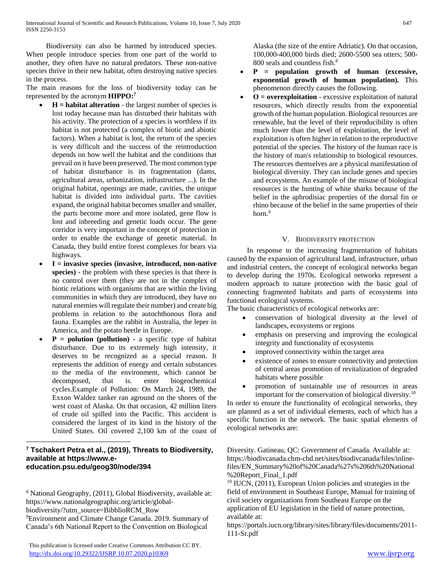Biodiversity can also be harmed by introduced species. When people introduce species from one part of the world to another, they often have no natural predators. These non-native species thrive in their new habitat, often destroying native species in the process.

The main reasons for the loss of biodiversity today can be represented by the acronym **HIPPO:<sup>7</sup>**

- **H = habitat alteration** the largest number of species is lost today because man has disturbed their habitats with his activity. The protection of a species is worthless if its habitat is not protected (a complex of biotic and abiotic factors). When a habitat is lost, the return of the species is very difficult and the success of the reintroduction depends on how well the habitat and the conditions that prevail on it have been preserved. The most common type of habitat disturbance is its fragmentation (dams, agricultural areas, urbanization, infrastructure ...). In the original habitat, openings are made, cavities, the unique habitat is divided into individual parts. The cavities expand, the original habitat becomes smaller and smaller, the parts become more and more isolated, gene flow is lost and inbreeding and genetic loads occur. The gene corridor is very important in the concept of protection in order to enable the exchange of genetic material. In Canada, they build entire forest complexes for bears via highways.
- **I = invasive species (invasive, introduced, non-native species)** - the problem with these species is that there is no control over them (they are not in the complex of biotic relations with organisms that are within the living communities in which they are introduced, they have no natural enemies will regulate their number) and create big problems in relation to the autochthonous flora and fauna. Examples are the rabbit in Australia, the leper in America, and the potato beetle in Europe.
- **P = polution (pollution) -** a specific type of habitat disturbance. Due to its extremely high intensity, it deserves to be recognized as a special reason. It represents the addition of energy and certain substances to the media of the environment, which cannot be decomposed, that is. enter biogeochemical cycles.Example of Pollution: On March 24, 1989, the Exxon Waldez tanker ran aground on the shores of the west coast of Alaska. On that occasion, 42 million liters of crude oil spilled into the Pacific. This accident is considered the largest of its kind in the history of the United States. Oil covered 2,100 km of the coast of

# **<sup>7</sup> Tschakert Petra et al., (2019), Threats to Biodiversity, available at https://www.eeducation.psu.edu/geog30/node/394**

 $\overline{a}$ 

<sup>8</sup> National Geography, (2011), Global Biodiversity, available at: https://www.nationalgeographic.org/article/globalbiodiversity/?utm\_source=BibblioRCM\_Row

<sup>9</sup>Environment and Climate Change Canada. 2019. Summary of Canada's 6th National Report to the Convention on Biological

Alaska (the size of the entire Adriatic). On that occasion, 100,000-400,000 birds died; 2600-5500 sea otters; 500- 800 seals and countless fish.<sup>8</sup>

- **P = population growth of human (excessive, exponential growth of human population).** This phenomenon directly causes the following.
- **O = overexploitation**  excessive exploitation of natural resources, which directly results from the exponential growth of the human population. Biological resources are renewable, but the level of their reproducibility is often much lower than the level of exploitation, the level of exploitation is often higher in relation to the reproductive potential of the species. The history of the human race is the history of man's relationship to biological resources. The resources themselves are a physical manifestation of biological diversity. They can include genes and species and ecosystems. An example of the misuse of biological resources is the hunting of white sharks because of the belief in the aphrodisiac properties of the dorsal fin or rhino because of the belief in the same properties of their horn.<sup>9</sup>

# V. BIODIVERSITY PROTECTION

 In response to the increasing fragmentation of habitats caused by the expansion of agricultural land, infrastructure, urban and industrial centers, the concept of ecological networks began to develop during the 1970s. Ecological networks represent a modern approach to nature protection with the basic goal of connecting fragmented habitats and parts of ecosystems into functional ecological systems.

The basic characteristics of ecological networks are:

- conservation of biological diversity at the level of landscapes, ecosystems or regions
- emphasis on preserving and improving the ecological integrity and functionality of ecosystems
- improved connectivity within the target area
- existence of zones to ensure connectivity and protection of central areas promotion of revitalization of degraded habitats where possible
- promotion of sustainable use of resources in areas important for the conservation of biological diversity.<sup>10</sup>

In order to ensure the functionality of ecological networks, they are planned as a set of individual elements, each of which has a specific function in the network. The basic spatial elements of ecological networks are:

Diversity. Gatineau, QC: Government of Canada. Available at: https://biodivcanada.chm-cbd.net/sites/biodivcanada/files/inlinefiles/EN\_Summary%20of%20Canada%27s%206th%20National %20Report\_Final\_1.pdf

<sup>10</sup> IUCN, (2011), European Union policies and strategies in the field of environment in Southeast Europe, Manual for training of civil society organizations from Southeast Europe on the

application of EU legislation in the field of nature protection, available at:

https://portals.iucn.org/library/sites/library/files/documents/2011- 111-Sr.pdf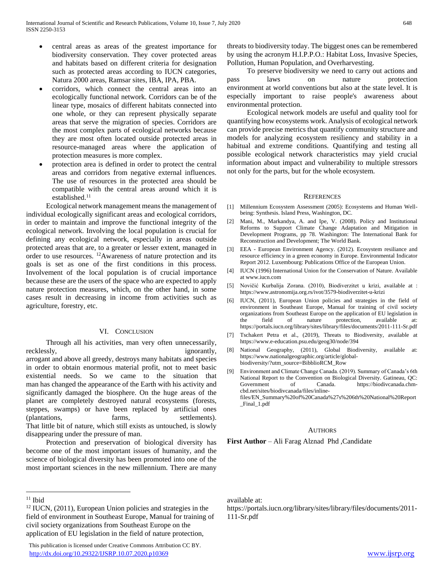- central areas as areas of the greatest importance for biodiversity conservation. They cover protected areas and habitats based on different criteria for designation such as protected areas according to IUCN categories, Natura 2000 areas, Ramsar sites, IBA, IPA, PBA.
- corridors, which connect the central areas into an ecologically functional network. Corridors can be of the linear type, mosaics of different habitats connected into one whole, or they can represent physically separate areas that serve the migration of species. Corridors are the most complex parts of ecological networks because they are most often located outside protected areas in resource-managed areas where the application of protection measures is more complex.
- protection area is defined in order to protect the central areas and corridors from negative external influences. The use of resources in the protected area should be compatible with the central areas around which it is established.<sup>11</sup>

 Ecological network management means the management of individual ecologically significant areas and ecological corridors, in order to maintain and improve the functional integrity of the ecological network. Involving the local population is crucial for defining any ecological network, especially in areas outside protected areas that are, to a greater or lesser extent, managed in order to use resources. <sup>12</sup>Awareness of nature protection and its goals is set as one of the first conditions in this process. Involvement of the local population is of crucial importance because these are the users of the space who are expected to apply nature protection measures, which, on the other hand, in some cases result in decreasing in income from activities such as agriculture, forestry, etc.

### VI. CONCLUSION

 Through all his activities, man very often unnecessarily, recklessly, ignorantly, arrogant and above all greedy, destroys many habitats and species in order to obtain enormous material profit, not to meet basic existential needs. So we came to the situation that man has changed the appearance of the Earth with his activity and significantly damaged the biosphere. On the huge areas of the planet are completely destroyed natural ecosystems (forests, steppes, swamps) or have been replaced by artificial ones (plantations, farms, settlements). That little bit of nature, which still exists as untouched, is slowly disappearing under the pressure of man.

 Protection and preservation of biological diversity has become one of the most important issues of humanity, and the science of biological diversity has been promoted into one of the most important sciences in the new millennium. There are many

 $\overline{a}$ 

 This publication is licensed under Creative Commons Attribution CC BY. <http://dx.doi.org/10.29322/IJSRP.10.07.2020.p10369> [www.ijsrp.org](http://ijsrp.org/)

threats to biodiversity today. The biggest ones can be remembered by using the acronym H.I.P.P.O.: Habitat Loss, Invasive Species, Pollution, Human Population, and Overharvesting.

 To preserve biodiversity we need to carry out actions and pass laws on nature protection environment at world conventions but also at the state level. It is especially important to raise people's awareness about environmental protection.

 Ecological network models are useful and quality tool for quantifying how ecosystems work. Analysis of ecological network can provide precise metrics that quantify community structure and models for analyzing ecosystem resiliency and stability in a habitual and extreme conditions. Quantifying and testing all possible ecological network characteristics may yield crucial information about impact and vulnerability to multiple stressors not only for the parts, but for the whole ecosystem.

#### **REFERENCES**

- [1] Millennium Ecosystem Assessment (2005): Ecosystems and Human Wellbeing: Synthesis. Island Press, Washington, DC.
- [2] Mani, M., Markandya, A. and Ipe, V. (2008). Policy and Institutional Reforms to Support Climate Change Adaptation and Mitigation in Development Programs, pp 78. Washington: The International Bank for Reconstruction and Development; The World Bank.
- [3] EEA European Environment Agency. (2012). Ecosystem resiliance and resource efficiency in a green economy in Europe. Environmental Indicator Report 2012. Luxembourg: Publications Office of the European Union.
- [4] IUCN (1996) International Union for the Conservation of Nature. Available at www.iucn.com
- [5] Novičić Kurbalija Zorana. (2010), Biodiverzitet u krizi, available at : https://www.astronomija.org.rs/ivot/3579-biodiverzitet-u-krizi
- [6] IUCN, (2011), European Union policies and strategies in the field of environment in Southeast Europe, Manual for training of civil society organizations from Southeast Europe on the application of EU legislation in the field of nature protection, available at: https://portals.iucn.org/library/sites/library/files/documents/2011-111-Sr.pdf
- [7] Tschakert Petra et al., (2019), Threats to Biodiversity, available at https://www.e-education.psu.edu/geog30/node/394
- [8] National Geography, (2011), Global Biodiversity, available at: https://www.nationalgeographic.org/article/globalbiodiversity/?utm\_source=BibblioRCM\_Row
- [9] Environment and Climate Change Canada. (2019). Summary of Canada's 6th National Report to the Convention on Biological Diversity. Gatineau, QC: Government of Canada. https://biodivcanada.chmcbd.net/sites/biodivcanada/files/inlinefiles/EN\_Summary%20of%20Canada%27s%206th%20National%20Report

\_Final\_1.pdf

#### AUTHORS

**First Author** – Ali Farag Alznad Phd ,Candidate

 $11$  Ibid

 $12$  IUCN, (2011), European Union policies and strategies in the field of environment in Southeast Europe, Manual for training of civil society organizations from Southeast Europe on the application of EU legislation in the field of nature protection,

available at:

https://portals.iucn.org/library/sites/library/files/documents/2011- 111-Sr.pdf